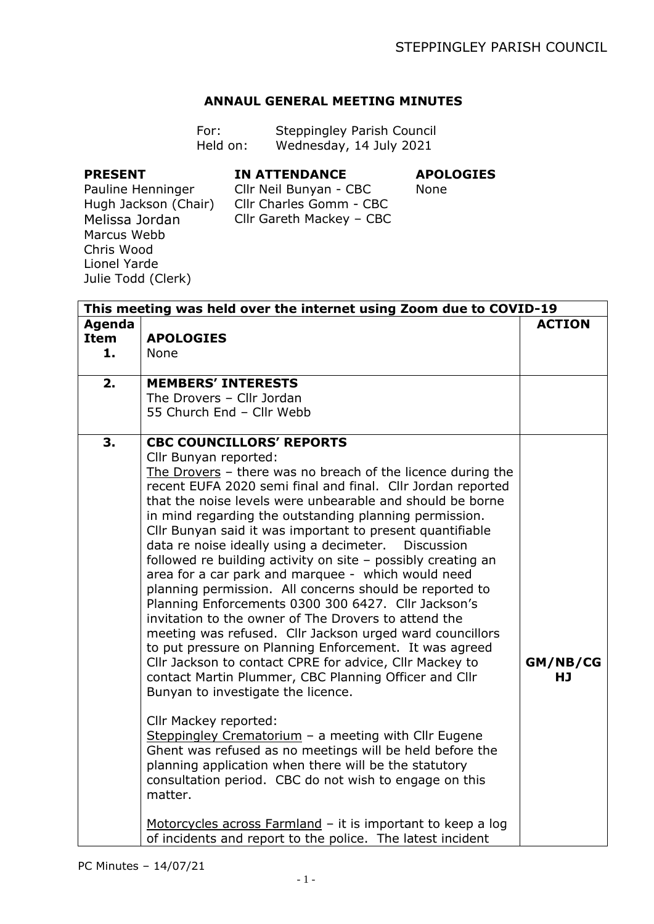## **ANNAUL GENERAL MEETING MINUTES**

| For:     | Steppingley Parish Council |
|----------|----------------------------|
| Held on: | Wednesday, 14 July 2021    |

## **PRESENT**

## **IN ATTENDANCE**

## **APOLOGIES**

Pauline Henninger Hugh Jackson (Chair) Melissa Jordan Marcus Webb Chris Wood Lionel Yarde Julie Todd (Clerk)

Cllr Neil Bunyan - CBC Cllr Charles Gomm - CBC Cllr Gareth Mackey – CBC

None

|                                    | This meeting was held over the internet using Zoom due to COVID-19                                                                                                                                                                                                                                                                                                                                                                                                                                                                                                                                                                                                                                                                                                                                                                                                                                                                                                                                                                                                                                                                                                                                                                                                                                     |                |
|------------------------------------|--------------------------------------------------------------------------------------------------------------------------------------------------------------------------------------------------------------------------------------------------------------------------------------------------------------------------------------------------------------------------------------------------------------------------------------------------------------------------------------------------------------------------------------------------------------------------------------------------------------------------------------------------------------------------------------------------------------------------------------------------------------------------------------------------------------------------------------------------------------------------------------------------------------------------------------------------------------------------------------------------------------------------------------------------------------------------------------------------------------------------------------------------------------------------------------------------------------------------------------------------------------------------------------------------------|----------------|
| <b>Agenda</b><br><b>Item</b><br>1. | <b>APOLOGIES</b><br>None                                                                                                                                                                                                                                                                                                                                                                                                                                                                                                                                                                                                                                                                                                                                                                                                                                                                                                                                                                                                                                                                                                                                                                                                                                                                               | <b>ACTION</b>  |
| 2.                                 | <b>MEMBERS' INTERESTS</b><br>The Drovers - Cllr Jordan<br>55 Church End - Cllr Webb                                                                                                                                                                                                                                                                                                                                                                                                                                                                                                                                                                                                                                                                                                                                                                                                                                                                                                                                                                                                                                                                                                                                                                                                                    |                |
| 3.                                 | <b>CBC COUNCILLORS' REPORTS</b><br>Cllr Bunyan reported:<br>The Drovers - there was no breach of the licence during the<br>recent EUFA 2020 semi final and final. Cllr Jordan reported<br>that the noise levels were unbearable and should be borne<br>in mind regarding the outstanding planning permission.<br>Cllr Bunyan said it was important to present quantifiable<br>data re noise ideally using a decimeter.<br><b>Discussion</b><br>followed re building activity on site - possibly creating an<br>area for a car park and marquee - which would need<br>planning permission. All concerns should be reported to<br>Planning Enforcements 0300 300 6427. Cllr Jackson's<br>invitation to the owner of The Drovers to attend the<br>meeting was refused. Cllr Jackson urged ward councillors<br>to put pressure on Planning Enforcement. It was agreed<br>Cllr Jackson to contact CPRE for advice, Cllr Mackey to<br>contact Martin Plummer, CBC Planning Officer and Cllr<br>Bunyan to investigate the licence.<br>Cllr Mackey reported:<br>Steppingley Crematorium - a meeting with Cllr Eugene<br>Ghent was refused as no meetings will be held before the<br>planning application when there will be the statutory<br>consultation period. CBC do not wish to engage on this<br>matter. | GM/NB/CG<br>HJ |
|                                    | Motorcycles across Farmland - it is important to keep a log<br>of incidents and report to the police. The latest incident                                                                                                                                                                                                                                                                                                                                                                                                                                                                                                                                                                                                                                                                                                                                                                                                                                                                                                                                                                                                                                                                                                                                                                              |                |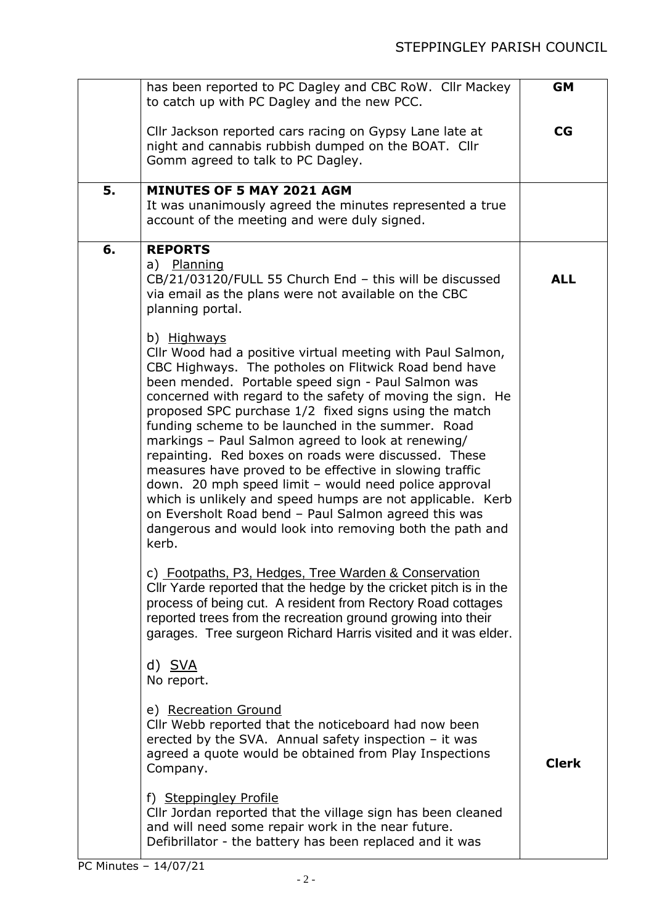|    | has been reported to PC Dagley and CBC RoW. Cllr Mackey<br>to catch up with PC Dagley and the new PCC.                                                                                                                                                                                                                                                                                                                                                                                                                                                                                                                                                                                                                                                                             | <b>GM</b>    |
|----|------------------------------------------------------------------------------------------------------------------------------------------------------------------------------------------------------------------------------------------------------------------------------------------------------------------------------------------------------------------------------------------------------------------------------------------------------------------------------------------------------------------------------------------------------------------------------------------------------------------------------------------------------------------------------------------------------------------------------------------------------------------------------------|--------------|
|    | Cllr Jackson reported cars racing on Gypsy Lane late at<br>night and cannabis rubbish dumped on the BOAT. Cllr<br>Gomm agreed to talk to PC Dagley.                                                                                                                                                                                                                                                                                                                                                                                                                                                                                                                                                                                                                                | CG           |
| 5. | <b>MINUTES OF 5 MAY 2021 AGM</b><br>It was unanimously agreed the minutes represented a true<br>account of the meeting and were duly signed.                                                                                                                                                                                                                                                                                                                                                                                                                                                                                                                                                                                                                                       |              |
| 6. | <b>REPORTS</b><br>a) Planning<br>CB/21/03120/FULL 55 Church End - this will be discussed<br>via email as the plans were not available on the CBC<br>planning portal.<br>b) Highways                                                                                                                                                                                                                                                                                                                                                                                                                                                                                                                                                                                                | <b>ALL</b>   |
|    | Cllr Wood had a positive virtual meeting with Paul Salmon,<br>CBC Highways. The potholes on Flitwick Road bend have<br>been mended. Portable speed sign - Paul Salmon was<br>concerned with regard to the safety of moving the sign. He<br>proposed SPC purchase 1/2 fixed signs using the match<br>funding scheme to be launched in the summer. Road<br>markings - Paul Salmon agreed to look at renewing/<br>repainting. Red boxes on roads were discussed. These<br>measures have proved to be effective in slowing traffic<br>down. 20 mph speed limit - would need police approval<br>which is unlikely and speed humps are not applicable. Kerb<br>on Eversholt Road bend - Paul Salmon agreed this was<br>dangerous and would look into removing both the path and<br>kerb. |              |
|    | c) Footpaths, P3, Hedges, Tree Warden & Conservation<br>Cllr Yarde reported that the hedge by the cricket pitch is in the<br>process of being cut. A resident from Rectory Road cottages<br>reported trees from the recreation ground growing into their<br>garages. Tree surgeon Richard Harris visited and it was elder.                                                                                                                                                                                                                                                                                                                                                                                                                                                         |              |
|    | d) SVA<br>No report.                                                                                                                                                                                                                                                                                                                                                                                                                                                                                                                                                                                                                                                                                                                                                               |              |
|    | e) Recreation Ground<br>Cllr Webb reported that the noticeboard had now been<br>erected by the SVA. Annual safety inspection $-$ it was<br>agreed a quote would be obtained from Play Inspections<br>Company.                                                                                                                                                                                                                                                                                                                                                                                                                                                                                                                                                                      | <b>Clerk</b> |
|    | f) Steppingley Profile<br>Cllr Jordan reported that the village sign has been cleaned<br>and will need some repair work in the near future.<br>Defibrillator - the battery has been replaced and it was                                                                                                                                                                                                                                                                                                                                                                                                                                                                                                                                                                            |              |